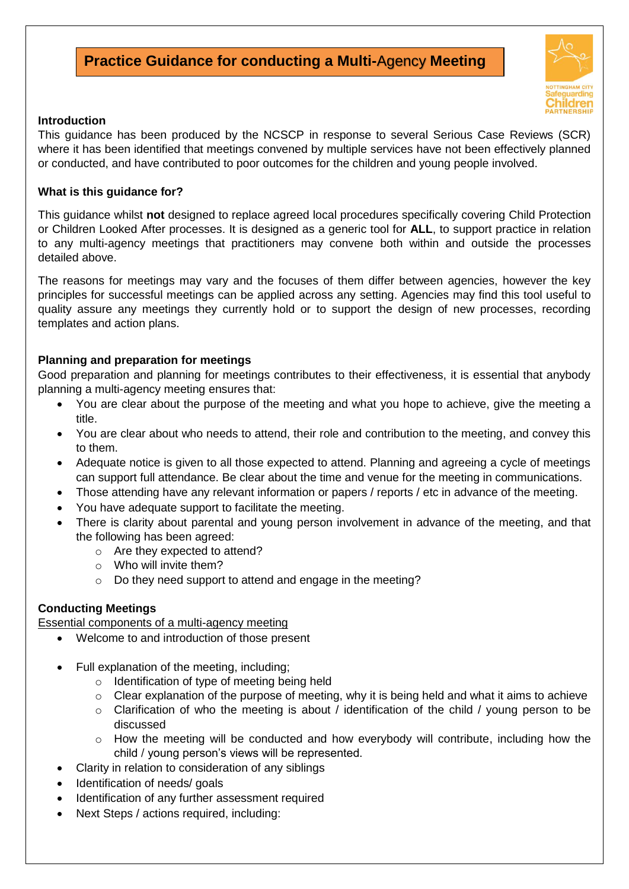# **Practice Guidance for conducting a Multi-**Agency **Meeting**



#### **Introduction**

This guidance has been produced by the NCSCP in response to several Serious Case Reviews (SCR) where it has been identified that meetings convened by multiple services have not been effectively planned or conducted, and have contributed to poor outcomes for the children and young people involved.

#### **What is this guidance for?**

This guidance whilst **not** designed to replace agreed local procedures specifically covering Child Protection or Children Looked After processes. It is designed as a generic tool for **ALL**, to support practice in relation to any multi-agency meetings that practitioners may convene both within and outside the processes detailed above.

The reasons for meetings may vary and the focuses of them differ between agencies, however the key principles for successful meetings can be applied across any setting. Agencies may find this tool useful to quality assure any meetings they currently hold or to support the design of new processes, recording templates and action plans.

#### **Planning and preparation for meetings**

Good preparation and planning for meetings contributes to their effectiveness, it is essential that anybody planning a multi-agency meeting ensures that:

- You are clear about the purpose of the meeting and what you hope to achieve, give the meeting a title.
- You are clear about who needs to attend, their role and contribution to the meeting, and convey this to them.
- Adequate notice is given to all those expected to attend. Planning and agreeing a cycle of meetings can support full attendance. Be clear about the time and venue for the meeting in communications.
- Those attending have any relevant information or papers / reports / etc in advance of the meeting.
- You have adequate support to facilitate the meeting.
- There is clarity about parental and young person involvement in advance of the meeting, and that the following has been agreed:
	- o Are they expected to attend?
	- $\circ$  Who will invite them?
	- o Do they need support to attend and engage in the meeting?

#### **Conducting Meetings**

Essential components of a multi-agency meeting

- Welcome to and introduction of those present
- Full explanation of the meeting, including;
	- o Identification of type of meeting being held
	- $\circ$  Clear explanation of the purpose of meeting, why it is being held and what it aims to achieve
	- o Clarification of who the meeting is about / identification of the child / young person to be discussed
	- o How the meeting will be conducted and how everybody will contribute, including how the child / young person's views will be represented.
- Clarity in relation to consideration of any siblings
- Identification of needs/ goals
- Identification of any further assessment required
- Next Steps / actions required, including: